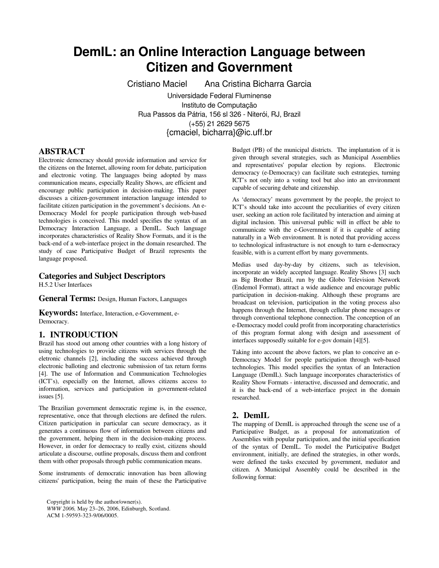# **DemIL: an Online Interaction Language between Citizen and Government**

Cristiano Maciel Ana Cristina Bicharra Garcia

Universidade Federal Fluminense Instituto de Computação Rua Passos da Pátria, 156 sl 326 - Niterói, RJ, Brazil (+55) 21 2629 5675 {cmaciel, bicharra}@ic.uff.br

### **ABSTRACT**

Electronic democracy should provide information and service for the citizens on the Internet, allowing room for debate, participation and electronic voting. The languages being adopted by mass communication means, especially Reality Shows, are efficient and encourage public participation in decision-making. This paper discusses a citizen-government interaction language intended to facilitate citizen participation in the government's decisions. An e-Democracy Model for people participation through web-based technologies is conceived. This model specifies the syntax of an Democracy Interaction Language, a DemIL. Such language incorporates characteristics of Reality Show Formats, and it is the back-end of a web-interface project in the domain researched. The study of case Participative Budget of Brazil represents the language proposed.

# **Categories and Subject Descriptors**

H.5.2 User Interfaces

**General Terms:** Design, Human Factors, Languages

**Keywords:** Interface, Interaction, e-Government, e-Democracy.

### **1. INTRODUCTION**

Brazil has stood out among other countries with a long history of using technologies to provide citizens with services through the eletronic channels [2], including the success achieved through electronic balloting and electronic submission of tax return forms [4]. The use of Information and Communication Technologies (ICT's), especially on the Internet, allows citizens access to information, services and participation in government-related issues [5].

The Brazilian government democratic regime is, in the essence, representative, once that through elections are defined the rulers. Citizen participation in particular can secure democracy, as it generates a continuous flow of information between citizens and the government, helping them in the decision-making process. However, in order for democracy to really exist, citizens should articulate a discourse, outline proposals, discuss them and confront them with other proposals through public communication means.

Some instruments of democratic innovation has been allowing citizens' participation, being the main of these the Participative

Budget (PB) of the municipal districts. The implantation of it is given through several strategies, such as Municipal Assemblies and representatives' popular election by regions. Electronic democracy (e-Democracy) can facilitate such estrategies, turning ICT's not only into a voting tool but also into an environment capable of securing debate and citizenship.

As 'democracy' means government by the people, the project to ICT's should take into account the peculiarities of every citizen user, seeking an action role facilitated by interaction and aiming at digital inclusion. This universal public will in effect be able to communicate with the e-Government if it is capable of acting naturally in a Web environment. It is noted that providing access to technological infrastructure is not enough to turn e-democracy feasible, with is a current effort by many governments.

Medias used day-by-day by citizens, such as television, incorporate an widely accepted language. Reality Shows [3] such as Big Brother Brazil, run by the Globo Television Network (Endemol Format), attract a wide audience and encourage public participation in decision-making. Although these programs are broadcast on television, participation in the voting process also happens through the Internet, through cellular phone messages or through conventional telephone connection. The conception of an e-Democracy model could profit from incorporating characteristics of this program format along with design and assessment of interfaces supposedly suitable for e-gov domain [4][5].

Taking into account the above factors, we plan to conceive an e-Democracy Model for people participation through web-based technologies. This model specifies the syntax of an Interaction Language (DemIL). Such language incorporates characteristics of Reality Show Formats - interactive, discussed and democratic, and it is the back-end of a web-interface project in the domain researched.

### **2. DemIL**

The mapping of DemIL is approached through the scene use of a Participative Budget, as a proposal for automatization of Assemblies with popular participation, and the initial specification of the syntax of DemIL. To model the Participative Budget environment, initially, are defined the strategies, in other words, were defined the tasks executed by government, mediator and citizen. A Municipal Assembly could be described in the following format:

Copyright is held by the author/owner(s).

*WWW 2006,* May 23–26, 2006, Edinburgh, Scotland. ACM 1-59593-323-9/06/0005.